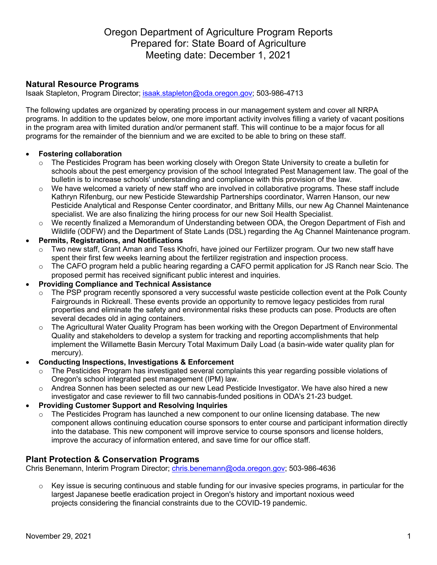# Oregon Department of Agriculture Program Reports Prepared for: State Board of Agriculture Meeting date: December 1, 2021

# **Natural Resource Programs**

Isaak Stapleton, Program Director; isaak.stapleton@oda.oregon.gov; 503-986-4713

The following updates are organized by operating process in our management system and cover all NRPA programs. In addition to the updates below, one more important activity involves filling a variety of vacant positions in the program area with limited duration and/or permanent staff. This will continue to be a major focus for all programs for the remainder of the biennium and we are excited to be able to bring on these staff.

#### • **Fostering collaboration**

- $\circ$  The Pesticides Program has been working closely with Oregon State University to create a bulletin for schools about the pest emergency provision of the school Integrated Pest Management law. The goal of the bulletin is to increase schools' understanding and compliance with this provision of the law.
- $\circ$  We have welcomed a variety of new staff who are involved in collaborative programs. These staff include Kathryn Rifenburg, our new Pesticide Stewardship Partnerships coordinator, Warren Hanson, our new Pesticide Analytical and Response Center coordinator, and Brittany Mills, our new Ag Channel Maintenance specialist. We are also finalizing the hiring process for our new Soil Health Specialist.
- o We recently finalized a Memorandum of Understanding between ODA, the Oregon Department of Fish and Wildlife (ODFW) and the Department of State Lands (DSL) regarding the Ag Channel Maintenance program.
- **Permits, Registrations, and Notifications**
	- o Two new staff, Grant Aman and Tess Khofri, have joined our Fertilizer program. Our two new staff have spent their first few weeks learning about the fertilizer registration and inspection process.
	- o The CAFO program held a public hearing regarding a CAFO permit application for JS Ranch near Scio. The proposed permit has received significant public interest and inquiries.
- **Providing Compliance and Technical Assistance**
	- The PSP program recently sponsored a very successful waste pesticide collection event at the Polk County Fairgrounds in Rickreall. These events provide an opportunity to remove legacy pesticides from rural properties and eliminate the safety and environmental risks these products can pose. Products are often several decades old in aging containers.
	- o The Agricultural Water Quality Program has been working with the Oregon Department of Environmental Quality and stakeholders to develop a system for tracking and reporting accomplishments that help implement the Willamette Basin Mercury Total Maximum Daily Load (a basin-wide water quality plan for mercury).
- **Conducting Inspections, Investigations & Enforcement**
	- o The Pesticides Program has investigated several complaints this year regarding possible violations of Oregon's school integrated pest management (IPM) law.
	- $\circ$  Andrea Sonnen has been selected as our new Lead Pesticide Investigator. We have also hired a new investigator and case reviewer to fill two cannabis-funded positions in ODA's 21-23 budget.
- **Providing Customer Support and Resolving Inquiries**
	- $\circ$  The Pesticides Program has launched a new component to our online licensing database. The new component allows continuing education course sponsors to enter course and participant information directly into the database. This new component will improve service to course sponsors and license holders, improve the accuracy of information entered, and save time for our office staff.

# **Plant Protection & Conservation Programs**

Chris Benemann, Interim Program Director; chris.benemann@oda.oregon.gov; 503-986-4636

 $\circ$  Key issue is securing continuous and stable funding for our invasive species programs, in particular for the largest Japanese beetle eradication project in Oregon's history and important noxious weed projects considering the financial constraints due to the COVID-19 pandemic.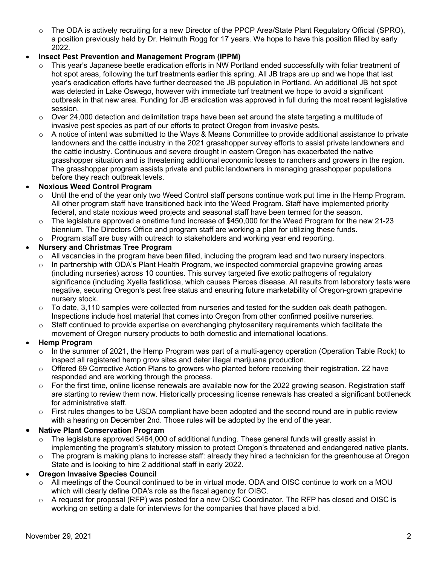$\circ$  The ODA is actively recruiting for a new Director of the PPCP Area/State Plant Regulatory Official (SPRO), a position previously held by Dr. Helmuth Rogg for 17 years. We hope to have this position filled by early 2022.

# • **Insect Pest Prevention and Management Program (IPPM)**

- This year's Japanese beetle eradication efforts in NW Portland ended successfully with foliar treatment of hot spot areas, following the turf treatments earlier this spring. All JB traps are up and we hope that last year's eradication efforts have further decreased the JB population in Portland. An additional JB hot spot was detected in Lake Oswego, however with immediate turf treatment we hope to avoid a significant outbreak in that new area. Funding for JB eradication was approved in full during the most recent legislative session.
- $\circ$  Over 24,000 detection and delimitation traps have been set around the state targeting a multitude of invasive pest species as part of our efforts to protect Oregon from invasive pests.
- $\circ$  A notice of intent was submitted to the Ways & Means Committee to provide additional assistance to private landowners and the cattle industry in the 2021 grasshopper survey efforts to assist private landowners and the cattle industry. Continuous and severe drought in eastern Oregon has exacerbated the native grasshopper situation and is threatening additional economic losses to ranchers and growers in the region. The grasshopper program assists private and public landowners in managing grasshopper populations before they reach outbreak levels.

# • **Noxious Weed Control Program**

- o Until the end of the year only two Weed Control staff persons continue work put time in the Hemp Program. All other program staff have transitioned back into the Weed Program. Staff have implemented priority federal, and state noxious weed projects and seasonal staff have been termed for the season.
- $\circ$  The legislature approved a onetime fund increase of \$450,000 for the Weed Program for the new 21-23 biennium. The Directors Office and program staff are working a plan for utilizing these funds.
- $\circ$  Program staff are busy with outreach to stakeholders and working year end reporting.

# • **Nursery and Christmas Tree Program**

- $\circ$  All vacancies in the program have been filled, including the program lead and two nursery inspectors.
- $\circ$  In partnership with ODA's Plant Health Program, we inspected commercial grapevine growing areas (including nurseries) across 10 counties. This survey targeted five exotic pathogens of regulatory significance (including Xyella fastidiosa, which causes Pierces disease. All results from laboratory tests were negative, securing Oregon's pest free status and ensuring future marketability of Oregon-grown grapevine nursery stock.
- $\circ$  To date, 3,110 samples were collected from nurseries and tested for the sudden oak death pathogen. Inspections include host material that comes into Oregon from other confirmed positive nurseries.
- $\circ$  Staff continued to provide expertise on everchanging phytosanitary requirements which facilitate the movement of Oregon nursery products to both domestic and international locations.

# • **Hemp Program**

- $\circ$  In the summer of 2021, the Hemp Program was part of a multi-agency operation (Operation Table Rock) to inspect all registered hemp grow sites and deter illegal marijuana production.
- $\circ$  Offered 69 Corrective Action Plans to growers who planted before receiving their registration. 22 have responded and are working through the process.
- $\circ$  For the first time, online license renewals are available now for the 2022 growing season. Registration staff are starting to review them now. Historically processing license renewals has created a significant bottleneck for administrative staff.
- $\circ$  First rules changes to be USDA compliant have been adopted and the second round are in public review with a hearing on December 2nd. Those rules will be adopted by the end of the year.

# • **Native Plant Conservation Program**

- $\circ$  The legislature approved \$464,000 of additional funding. These general funds will greatly assist in implementing the program's statutory mission to protect Oregon's threatened and endangered native plants.
- o The program is making plans to increase staff: already they hired a technician for the greenhouse at Oregon State and is looking to hire 2 additional staff in early 2022.

# • **Oregon Invasive Species Council**

- o All meetings of the Council continued to be in virtual mode. ODA and OISC continue to work on a MOU which will clearly define ODA's role as the fiscal agency for OISC.
- $\circ$  A request for proposal (RFP) was posted for a new OISC Coordinator. The RFP has closed and OISC is working on setting a date for interviews for the companies that have placed a bid.